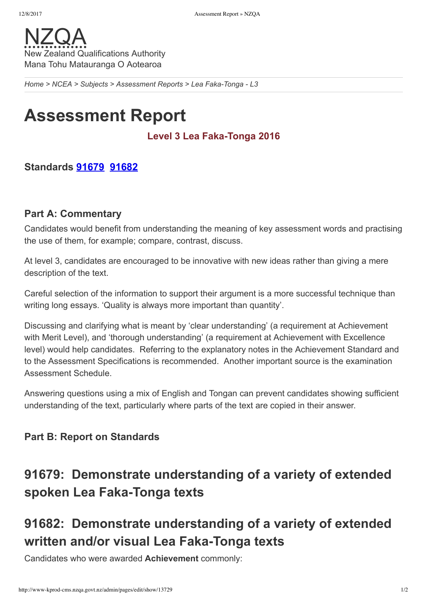

*[Home](http://www-kprod-cms.nzqa.govt.nz/home) > [NCEA](http://www-kprod-cms.nzqa.govt.nz/ncea/) > [Subjects](http://www-kprod-cms.nzqa.govt.nz/ncea/subjects/) > [Assessment](http://www-kprod-cms.nzqa.govt.nz/ncea/subjects/assessment-reports/) Reports > Lea FakaTonga L3*

# **Assessment Report**

### Level 3 Lea Faka-Tonga 2016

### **Standards [91679](http://www-kprod-cms.nzqa.govt.nz/ncea/subjects/assessment-reports/tongan-l3/?stage=Stage#91679) [91682](http://www-kprod-cms.nzqa.govt.nz/ncea/subjects/assessment-reports/tongan-l3/?stage=Stage#91682)**

#### **Part A: Commentary**

Candidates would benefit from understanding the meaning of key assessment words and practising the use of them, for example; compare, contrast, discuss.

At level 3, candidates are encouraged to be innovative with new ideas rather than giving a mere description of the text.

Careful selection of the information to support their argument is a more successful technique than writing long essays. 'Quality is always more important than quantity'.

Discussing and clarifying what is meant by 'clear understanding' (a requirement at Achievement with Merit Level), and 'thorough understanding' (a requirement at Achievement with Excellence level) would help candidates. Referring to the explanatory notes in the Achievement Standard and to the Assessment Specifications is recommended. Another important source is the examination Assessment Schedule.

Answering questions using a mix of English and Tongan can prevent candidates showing sufficient understanding of the text, particularly where parts of the text are copied in their answer.

### **Part B: Report on Standards**

## **91679: Demonstrate understanding of a variety of extended** spoken Lea Faka-Tonga texts

## **91682: Demonstrate understanding of a variety of extended** written and/or visual Lea Faka-Tonga texts

Candidates who were awarded **Achievement** commonly: